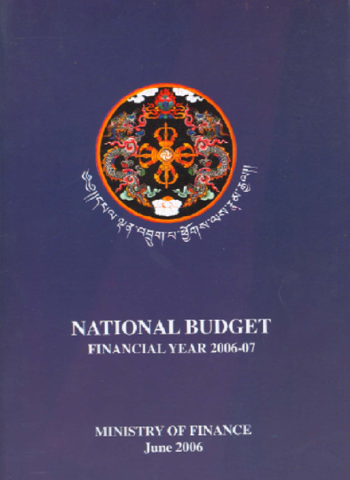

# NATIONAL BUDGET FINANCIAL YEAR 2006-07

MINISTRY OF FINANCE **June 2006**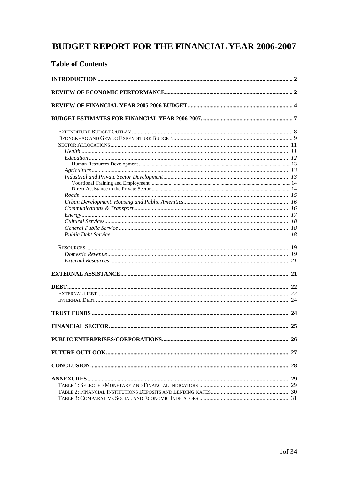# **BUDGET REPORT FOR THE FINANCIAL YEAR 2006-2007**

## **Table of Contents**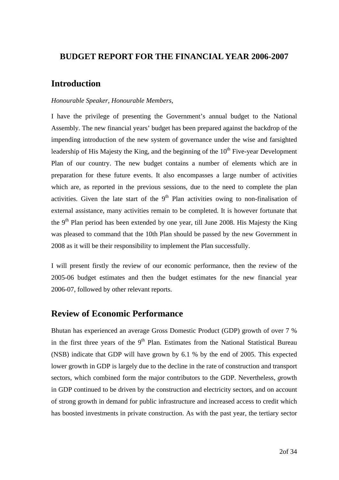## <span id="page-2-0"></span>**BUDGET REPORT FOR THE FINANCIAL YEAR 2006-2007**

## **Introduction**

#### *Honourable Speaker, Honourable Members,*

I have the privilege of presenting the Government's annual budget to the National Assembly. The new financial years' budget has been prepared against the backdrop of the impending introduction of the new system of governance under the wise and farsighted leadership of His Majesty the King, and the beginning of the  $10<sup>th</sup>$  Five-year Development Plan of our country. The new budget contains a number of elements which are in preparation for these future events. It also encompasses a large number of activities which are, as reported in the previous sessions, due to the need to complete the plan activities. Given the late start of the  $9<sup>th</sup>$  Plan activities owing to non-finalisation of external assistance, many activities remain to be completed. It is however fortunate that the  $9<sup>th</sup>$  Plan period has been extended by one year, till June 2008. His Majesty the King was pleased to command that the 10th Plan should be passed by the new Government in 2008 as it will be their responsibility to implement the Plan successfully.

I will present firstly the review of our economic performance, then the review of the 2005-06 budget estimates and then the budget estimates for the new financial year 2006-07, followed by other relevant reports.

## **Review of Economic Performance**

Bhutan has experienced an average Gross Domestic Product (GDP) growth of over 7 % in the first three years of the  $9<sup>th</sup>$  Plan. Estimates from the National Statistical Bureau (NSB) indicate that GDP will have grown by 6.1 % by the end of 2005. This expected lower growth in GDP is largely due to the decline in the rate of construction and transport sectors, which combined form the major contributors to the GDP. Nevertheless, *g*rowth in GDP continued to be driven by the construction and electricity sectors, and on account of strong growth in demand for public infrastructure and increased access to credit which has boosted investments in private construction. As with the past year, the tertiary sector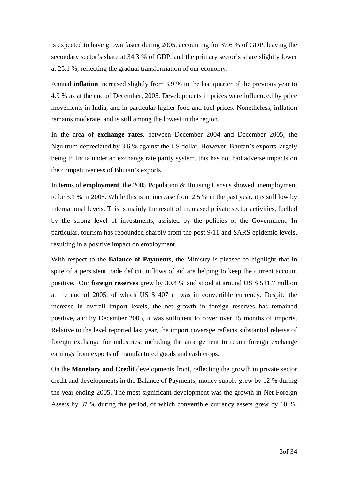is expected to have grown faster during 2005, accounting for 37.6 % of GDP, leaving the secondary sector's share at 34.3 % of GDP, and the primary sector's share slightly lower at 25.1 %, reflecting the gradual transformation of our economy.

Annual **inflation** increased slightly from 3.9 % in the last quarter of the previous year to 4.9 % as at the end of December, 2005. Developments in prices were influenced by price movements in India, and in particular higher food and fuel prices. Nonetheless, inflation remains moderate, and is still among the lowest in the region.

In the area of **exchange rates**, between December 2004 and December 2005, the Ngultrum depreciated by 3.6 % against the US dollar. However, Bhutan's exports largely being to India under an exchange rate parity system, this has not had adverse impacts on the competitiveness of Bhutan's exports.

In terms of **employment**, the 2005 Population & Housing Census showed unemployment to be 3.1 % in 2005. While this is an increase from 2.5 % in the past year, it is still low by international levels. This is mainly the result of increased private sector activities, fuelled by the strong level of investments, assisted by the policies of the Government. In particular, tourism has rebounded sharply from the post 9/11 and SARS epidemic levels, resulting in a positive impact on employment.

With respect to the **Balance of Payments**, the Ministry is pleased to highlight that in spite of a persistent trade deficit, inflows of aid are helping to keep the current account positive. Our **foreign reserves** grew by 30.4 % and stood at around US \$ 511.7 million at the end of 2005, of which US \$ 407 m was in convertible currency. Despite the increase in overall import levels, the net growth in foreign reserves has remained positive, and by December 2005, it was sufficient to cover over 15 months of imports. Relative to the level reported last year, the import coverage reflects substantial release of foreign exchange for industries, including the arrangement to retain foreign exchange earnings from exports of manufactured goods and cash crops.

On the **Monetary and Credit** developments front, reflecting the growth in private sector credit and developments in the Balance of Payments, money supply grew by 12 % during the year ending 2005. The most significant development was the growth in Net Foreign Assets by 37 % during the period, of which convertible currency assets grew by 60 %.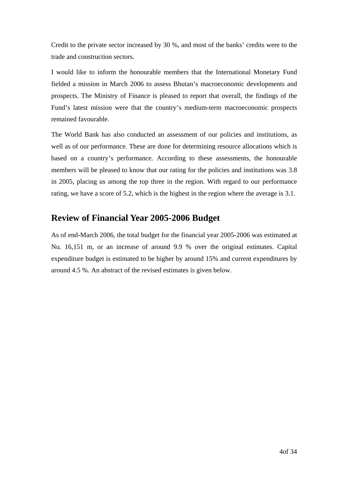<span id="page-4-0"></span>Credit to the private sector increased by 30 %, and most of the banks' credits were to the trade and construction sectors.

I would like to inform the honourable members that the International Monetary Fund fielded a mission in March 2006 to assess Bhutan's macroeconomic developments and prospects. The Ministry of Finance is pleased to report that overall, the findings of the Fund's latest mission were that the country's medium-term macroeconomic prospects remained favourable.

The World Bank has also conducted an assessment of our policies and institutions, as well as of our performance. These are done for determining resource allocations which is based on a country's performance. According to these assessments, the honourable members will be pleased to know that our rating for the policies and institutions was 3.8 in 2005, placing us among the top three in the region. With regard to our performance rating, we have a score of 5.2, which is the highest in the region where the average is 3.1.

## **Review of Financial Year 2005-2006 Budget**

As of end-March 2006, the total budget for the financial year 2005-2006 was estimated at Nu. 16,151 m, or an increase of around 9.9 % over the original estimates. Capital expenditure budget is estimated to be higher by around 15% and current expenditures by around 4.5 %. An abstract of the revised estimates is given below.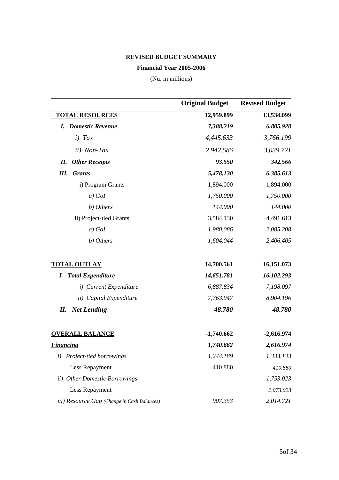#### **REVISED BUDGET SUMMARY**

#### **Financial Year 2005-2006**

(Nu. in millions)

|                                             | <b>Original Budget</b> | <b>Revised Budget</b> |
|---------------------------------------------|------------------------|-----------------------|
| <b>TOTAL RESOURCES</b>                      | 12,959.899             | 13,534.099            |
| <b>I.</b> Domestic Revenue                  | 7,388.219              | 6,805.920             |
| $i)$ Tax                                    | 4,445.633              | 3,766.199             |
| <i>ii</i> ) Non-Tax                         | 2,942.586              | 3,039.721             |
| <b>Other Receipts</b><br>П.                 | 93.550                 | 342.566               |
| Ш.<br><b>Grants</b>                         | 5,478.130              | 6,385.613             |
| i) Program Grants                           | 1,894.000              | 1,894.000             |
| $a)$ GoI                                    | 1,750.000              | 1,750.000             |
| b) Others                                   | 144.000                | 144.000               |
| ii) Project-tied Grants                     | 3,584.130              | 4,491.613             |
| $a)$ GoI                                    | 1,980.086              | 2,085.208             |
| b) Others                                   | 1,604.044              | 2,406.405             |
| <b>TOTAL OUTLAY</b>                         | 14,700.561             | 16,151.073            |
| <b>Total Expenditure</b><br>I.              | 14,651.781             | 16,102.293            |
| i) Current Expenditure                      | 6,887.834              | 7,198.097             |
| ii) Capital Expenditure                     | 7,763.947              | 8,904.196             |
| <b>Net Lending</b><br>Н.                    | 48.780                 | 48.780                |
| <b>OVERALL BALANCE</b>                      | $-1,740.662$           | $-2,616.974$          |
| <b>Financing</b>                            | 1,740.662              | 2,616.974             |
| Project-tied borrowings                     | 1,244.189              | 1,333.133             |
| Less Repayment                              | 410.880                | 410.880               |
| ii) Other Domestic Borrowings               |                        | 1,753.023             |
| Less Repayment                              |                        | 2,073.023             |
| iii) Resource Gap (Change in Cash Balances) | 907.353                | 2,014.721             |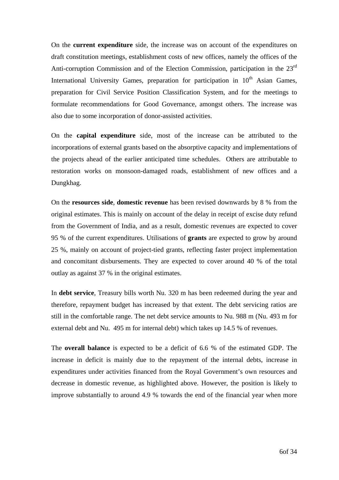On the **current expenditure** side, the increase was on account of the expenditures on draft constitution meetings, establishment costs of new offices, namely the offices of the Anti-corruption Commission and of the Election Commission, participation in the 23rd International University Games, preparation for participation in 10<sup>th</sup> Asian Games, preparation for Civil Service Position Classification System, and for the meetings to formulate recommendations for Good Governance, amongst others. The increase was also due to some incorporation of donor-assisted activities.

On the **capital expenditure** side, most of the increase can be attributed to the incorporations of external grants based on the absorptive capacity and implementations of the projects ahead of the earlier anticipated time schedules. Others are attributable to restoration works on monsoon-damaged roads, establishment of new offices and a Dungkhag.

On the **resources side**, **domestic revenue** has been revised downwards by 8 % from the original estimates. This is mainly on account of the delay in receipt of excise duty refund from the Government of India, and as a result, domestic revenues are expected to cover 95 % of the current expenditures. Utilisations of **grants** are expected to grow by around 25 %, mainly on account of project-tied grants, reflecting faster project implementation and concomitant disbursements. They are expected to cover around 40 % of the total outlay as against 37 % in the original estimates.

In **debt service**, Treasury bills worth Nu. 320 m has been redeemed during the year and therefore, repayment budget has increased by that extent. The debt servicing ratios are still in the comfortable range. The net debt service amounts to Nu. 988 m (Nu. 493 m for external debt and Nu. 495 m for internal debt) which takes up 14.5 % of revenues.

The **overall balance** is expected to be a deficit of 6.6 % of the estimated GDP. The increase in deficit is mainly due to the repayment of the internal debts, increase in expenditures under activities financed from the Royal Government's own resources and decrease in domestic revenue, as highlighted above. However, the position is likely to improve substantially to around 4.9 % towards the end of the financial year when more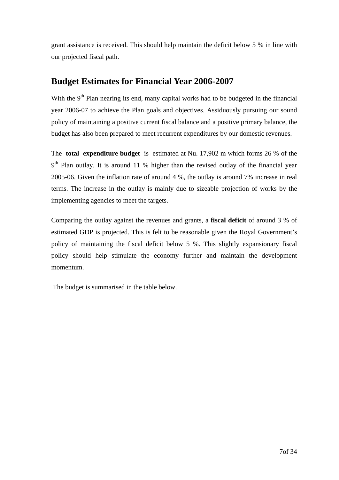<span id="page-7-0"></span>grant assistance is received. This should help maintain the deficit below 5 % in line with our projected fiscal path.

## **Budget Estimates for Financial Year 2006-2007**

With the 9<sup>th</sup> Plan nearing its end, many capital works had to be budgeted in the financial year 2006-07 to achieve the Plan goals and objectives. Assiduously pursuing our sound policy of maintaining a positive current fiscal balance and a positive primary balance, the budget has also been prepared to meet recurrent expenditures by our domestic revenues.

The **total expenditure budget** is estimated at Nu. 17,902 m which forms 26 % of the  $9<sup>th</sup>$  Plan outlay. It is around 11 % higher than the revised outlay of the financial year 2005-06. Given the inflation rate of around 4 %, the outlay is around 7% increase in real terms. The increase in the outlay is mainly due to sizeable projection of works by the implementing agencies to meet the targets.

Comparing the outlay against the revenues and grants, a **fiscal deficit** of around 3 % of estimated GDP is projected. This is felt to be reasonable given the Royal Government's policy of maintaining the fiscal deficit below 5 %. This slightly expansionary fiscal policy should help stimulate the economy further and maintain the development momentum.

The budget is summarised in the table below.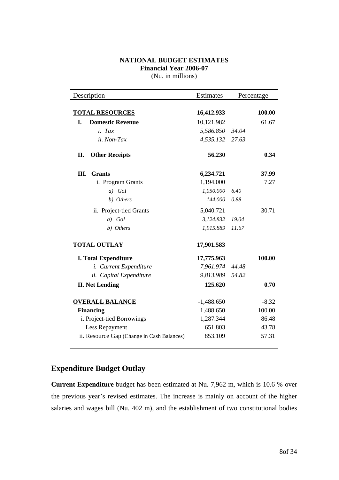#### **NATIONAL BUDGET ESTIMATES Financial Year 2006-07**  (Nu. in millions)

<span id="page-8-0"></span>

| Description                                | Estimates    |       | Percentage |
|--------------------------------------------|--------------|-------|------------|
| <b>TOTAL RESOURCES</b>                     | 16,412.933   |       | 100.00     |
| <b>Domestic Revenue</b><br>L.              | 10,121.982   |       | 61.67      |
| i. Tax                                     | 5,586.850    | 34.04 |            |
| ii. Non-Tax                                | 4,535.132    | 27.63 |            |
| II.<br><b>Other Receipts</b>               | 56.230       |       | 0.34       |
| Ш.<br><b>Grants</b>                        | 6,234.721    |       | 37.99      |
| i. Program Grants                          | 1,194.000    |       | 7.27       |
| $a)$ GoI                                   | 1,050.000    | 6.40  |            |
| b) Others                                  | 144.000      | 0.88  |            |
| ii. Project-tied Grants                    | 5,040.721    |       | 30.71      |
| $a)$ GoI                                   | 3,124.832    | 19.04 |            |
| b) Others                                  | 1,915.889    | 11.67 |            |
| <b>TOTAL OUTLAY</b>                        | 17,901.583   |       |            |
| <b>I. Total Expenditure</b>                | 17,775.963   |       | 100.00     |
| <i>i.</i> Current Expenditure              | 7,961.974    | 44.48 |            |
| ii. Capital Expenditure                    | 9,813.989    | 54.82 |            |
| <b>II. Net Lending</b>                     | 125.620      |       | 0.70       |
| <b>OVERALL BALANCE</b>                     | $-1,488.650$ |       | $-8.32$    |
| <b>Financing</b>                           | 1,488.650    |       | 100.00     |
| i. Project-tied Borrowings                 | 1,287.344    |       | 86.48      |
| Less Repayment                             | 651.803      |       | 43.78      |
| ii. Resource Gap (Change in Cash Balances) | 853.109      |       | 57.31      |

## **Expenditure Budget Outlay**

**Current Expenditure** budget has been estimated at Nu. 7,962 m, which is 10.6 % over the previous year's revised estimates. The increase is mainly on account of the higher salaries and wages bill (Nu. 402 m), and the establishment of two constitutional bodies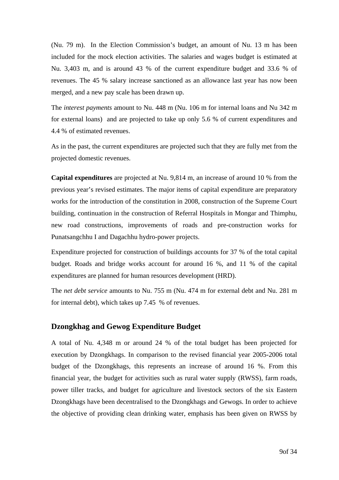<span id="page-9-0"></span>(Nu. 79 m). In the Election Commission's budget, an amount of Nu. 13 m has been included for the mock election activities. The salaries and wages budget is estimated at Nu. 3,403 m, and is around 43 % of the current expenditure budget and 33.6 % of revenues. The 45 % salary increase sanctioned as an allowance last year has now been merged, and a new pay scale has been drawn up.

The *interest payments* amount to Nu. 448 m (Nu. 106 m for internal loans and Nu 342 m for external loans) and are projected to take up only 5.6 % of current expenditures and 4.4 % of estimated revenues.

As in the past, the current expenditures are projected such that they are fully met from the projected domestic revenues.

**Capital expenditures** are projected at Nu. 9,814 m, an increase of around 10 % from the previous year's revised estimates. The major items of capital expenditure are preparatory works for the introduction of the constitution in 2008, construction of the Supreme Court building, continuation in the construction of Referral Hospitals in Mongar and Thimphu, new road constructions, improvements of roads and pre-construction works for Punatsangchhu I and Dagachhu hydro-power projects.

Expenditure projected for construction of buildings accounts for 37 % of the total capital budget. Roads and bridge works account for around 16 %, and 11 % of the capital expenditures are planned for human resources development (HRD).

The *net debt service* amounts to Nu. 755 m (Nu. 474 m for external debt and Nu. 281 m for internal debt), which takes up 7.45 % of revenues.

#### **Dzongkhag and Gewog Expenditure Budget**

A total of Nu. 4,348 m or around 24 % of the total budget has been projected for execution by Dzongkhags. In comparison to the revised financial year 2005-2006 total budget of the Dzongkhags, this represents an increase of around 16 %. From this financial year, the budget for activities such as rural water supply (RWSS), farm roads, power tiller tracks, and budget for agriculture and livestock sectors of the six Eastern Dzongkhags have been decentralised to the Dzongkhags and Gewogs. In order to achieve the objective of providing clean drinking water, emphasis has been given on RWSS by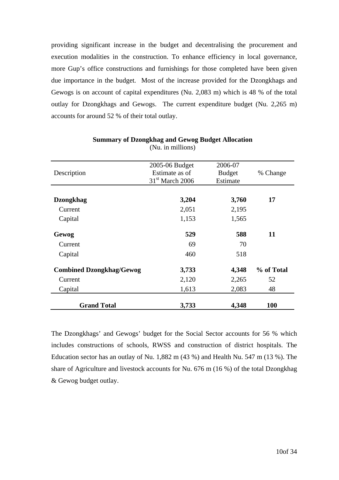providing significant increase in the budget and decentralising the procurement and execution modalities in the construction. To enhance efficiency in local governance, more Gup's office constructions and furnishings for those completed have been given due importance in the budget. Most of the increase provided for the Dzongkhags and Gewogs is on account of capital expenditures (Nu. 2,083 m) which is 48 % of the total outlay for Dzongkhags and Gewogs. The current expenditure budget (Nu. 2,265 m) accounts for around 52 % of their total outlay.

|                                 | 2005-06 Budget    | 2006-07       |            |
|---------------------------------|-------------------|---------------|------------|
| Description                     | Estimate as of    | <b>Budget</b> | % Change   |
|                                 | $31st$ March 2006 | Estimate      |            |
|                                 |                   |               |            |
| <b>Dzongkhag</b>                | 3,204             | 3,760         | 17         |
| Current                         | 2,051             | 2,195         |            |
| Capital                         | 1,153             | 1,565         |            |
|                                 |                   |               |            |
| Gewog                           | 529               | 588           | 11         |
| Current                         | 69                | 70            |            |
| Capital                         | 460               | 518           |            |
|                                 |                   |               |            |
| <b>Combined Dzongkhag/Gewog</b> | 3,733             | 4,348         | % of Total |
| Current                         | 2,120             | 2,265         | 52         |
| Capital                         | 1,613             | 2,083         | 48         |
|                                 |                   |               |            |
| <b>Grand Total</b>              | 3,733             | 4,348         | <b>100</b> |

**Summary of Dzongkhag and Gewog Budget Allocation**  (Nu. in millions)

The Dzongkhags' and Gewogs' budget for the Social Sector accounts for 56 % which includes constructions of schools, RWSS and construction of district hospitals. The Education sector has an outlay of Nu. 1,882 m (43 %) and Health Nu. 547 m (13 %). The share of Agriculture and livestock accounts for Nu. 676 m (16 %) of the total Dzongkhag & Gewog budget outlay.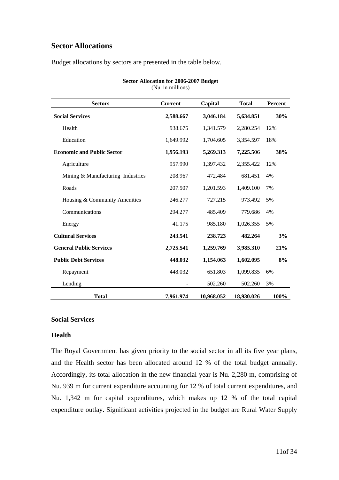## <span id="page-11-0"></span>**Sector Allocations**

Budget allocations by sectors are presented in the table below.

| <b>Sectors</b>                    | <b>Current</b> | Capital    | <b>Total</b> | Percent |
|-----------------------------------|----------------|------------|--------------|---------|
| <b>Social Services</b>            | 2,588.667      | 3,046.184  | 5,634.851    | 30%     |
| Health                            | 938.675        | 1,341.579  | 2,280.254    | 12%     |
| Education                         | 1,649.992      | 1,704.605  | 3,354.597    | 18%     |
| <b>Economic and Public Sector</b> | 1,956.193      | 5,269.313  | 7,225.506    | 38%     |
| Agriculture                       | 957.990        | 1,397.432  | 2,355.422    | 12%     |
| Mining & Manufacturing Industries | 208.967        | 472.484    | 681.451      | 4%      |
| Roads                             | 207.507        | 1,201.593  | 1,409.100    | 7%      |
| Housing & Community Amenities     | 246.277        | 727.215    | 973.492      | 5%      |
| Communications                    | 294.277        | 485.409    | 779.686      | 4%      |
| Energy                            | 41.175         | 985.180    | 1,026.355    | 5%      |
| <b>Cultural Services</b>          | 243.541        | 238.723    | 482.264      | 3%      |
| <b>General Public Services</b>    | 2,725.541      | 1,259.769  | 3,985.310    | 21%     |
| <b>Public Debt Services</b>       | 448.032        | 1,154.063  | 1,602.095    | 8%      |
| Repayment                         | 448.032        | 651.803    | 1,099.835    | 6%      |
| Lending                           |                | 502.260    | 502.260      | 3%      |
| <b>Total</b>                      | 7,961.974      | 10,968.052 | 18,930.026   | 100%    |

**Sector Allocation for 2006-2007 Budget**  (Nu. in millions)

#### **Social Services**

#### **Health**

The Royal Government has given priority to the social sector in all its five year plans, and the Health sector has been allocated around 12 % of the total budget annually. Accordingly, its total allocation in the new financial year is Nu. 2,280 m, comprising of Nu. 939 m for current expenditure accounting for 12 % of total current expenditures, and Nu. 1,342 m for capital expenditures, which makes up 12 % of the total capital expenditure outlay. Significant activities projected in the budget are Rural Water Supply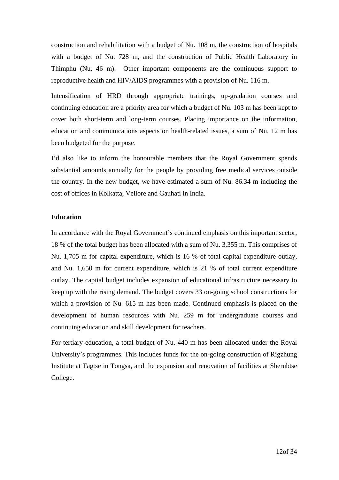<span id="page-12-0"></span>construction and rehabilitation with a budget of Nu. 108 m, the construction of hospitals with a budget of Nu. 728 m, and the construction of Public Health Laboratory in Thimphu (Nu. 46 m). Other important components are the continuous support to reproductive health and HIV/AIDS programmes with a provision of Nu. 116 m.

Intensification of HRD through appropriate trainings, up-gradation courses and continuing education are a priority area for which a budget of Nu. 103 m has been kept to cover both short-term and long-term courses. Placing importance on the information, education and communications aspects on health-related issues, a sum of Nu. 12 m has been budgeted for the purpose.

I'd also like to inform the honourable members that the Royal Government spends substantial amounts annually for the people by providing free medical services outside the country. In the new budget, we have estimated a sum of Nu. 86.34 m including the cost of offices in Kolkatta, Vellore and Gauhati in India.

#### **Education**

In accordance with the Royal Government's continued emphasis on this important sector, 18 % of the total budget has been allocated with a sum of Nu. 3,355 m. This comprises of Nu. 1,705 m for capital expenditure, which is 16 % of total capital expenditure outlay, and Nu. 1,650 m for current expenditure, which is 21 % of total current expenditure outlay. The capital budget includes expansion of educational infrastructure necessary to keep up with the rising demand. The budget covers 33 on-going school constructions for which a provision of Nu. 615 m has been made. Continued emphasis is placed on the development of human resources with Nu. 259 m for undergraduate courses and continuing education and skill development for teachers.

For tertiary education, a total budget of Nu. 440 m has been allocated under the Royal University's programmes. This includes funds for the on-going construction of Rigzhung Institute at Tagtse in Tongsa, and the expansion and renovation of facilities at Sherubtse College.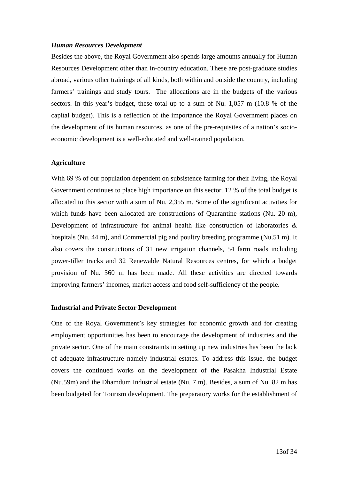#### <span id="page-13-0"></span>*Human Resources Development*

Besides the above, the Royal Government also spends large amounts annually for Human Resources Development other than in-country education. These are post-graduate studies abroad, various other trainings of all kinds, both within and outside the country, including farmers' trainings and study tours. The allocations are in the budgets of the various sectors. In this year's budget, these total up to a sum of Nu. 1,057 m (10.8 % of the capital budget). This is a reflection of the importance the Royal Government places on the development of its human resources, as one of the pre-requisites of a nation's socioeconomic development is a well-educated and well-trained population.

#### **Agriculture**

With 69 % of our population dependent on subsistence farming for their living, the Royal Government continues to place high importance on this sector. 12 % of the total budget is allocated to this sector with a sum of Nu. 2,355 m. Some of the significant activities for which funds have been allocated are constructions of Quarantine stations (Nu. 20 m), Development of infrastructure for animal health like construction of laboratories & hospitals (Nu. 44 m), and Commercial pig and poultry breeding programme (Nu.51 m). It also covers the constructions of 31 new irrigation channels, 54 farm roads including power-tiller tracks and 32 Renewable Natural Resources centres, for which a budget provision of Nu. 360 m has been made. All these activities are directed towards improving farmers' incomes, market access and food self-sufficiency of the people.

#### **Industrial and Private Sector Development**

One of the Royal Government's key strategies for economic growth and for creating employment opportunities has been to encourage the development of industries and the private sector. One of the main constraints in setting up new industries has been the lack of adequate infrastructure namely industrial estates. To address this issue, the budget covers the continued works on the development of the Pasakha Industrial Estate (Nu.59m) and the Dhamdum Industrial estate (Nu. 7 m). Besides, a sum of Nu. 82 m has been budgeted for Tourism development. The preparatory works for the establishment of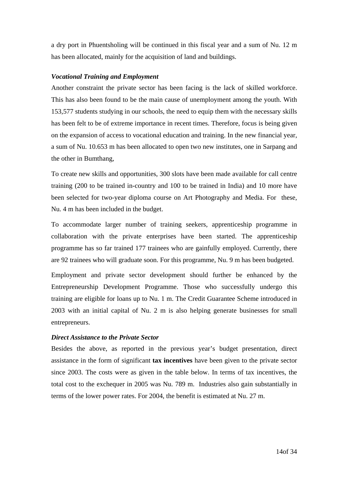<span id="page-14-0"></span>a dry port in Phuentsholing will be continued in this fiscal year and a sum of Nu. 12 m has been allocated, mainly for the acquisition of land and buildings.

#### *Vocational Training and Employment*

Another constraint the private sector has been facing is the lack of skilled workforce. This has also been found to be the main cause of unemployment among the youth. With 153,577 students studying in our schools, the need to equip them with the necessary skills has been felt to be of extreme importance in recent times. Therefore, focus is being given on the expansion of access to vocational education and training. In the new financial year, a sum of Nu. 10.653 m has been allocated to open two new institutes, one in Sarpang and the other in Bumthang,

To create new skills and opportunities, 300 slots have been made available for call centre training (200 to be trained in-country and 100 to be trained in India) and 10 more have been selected for two-year diploma course on Art Photography and Media. For these, Nu. 4 m has been included in the budget.

To accommodate larger number of training seekers, apprenticeship programme in collaboration with the private enterprises have been started. The apprenticeship programme has so far trained 177 trainees who are gainfully employed. Currently, there are 92 trainees who will graduate soon. For this programme, Nu. 9 m has been budgeted.

Employment and private sector development should further be enhanced by the Entrepreneurship Development Programme. Those who successfully undergo this training are eligible for loans up to Nu. 1 m. The Credit Guarantee Scheme introduced in 2003 with an initial capital of Nu. 2 m is also helping generate businesses for small entrepreneurs.

#### *Direct Assistance to the Private Sector*

Besides the above, as reported in the previous year's budget presentation, direct assistance in the form of significant **tax incentives** have been given to the private sector since 2003. The costs were as given in the table below. In terms of tax incentives, the total cost to the exchequer in 2005 was Nu. 789 m. Industries also gain substantially in terms of the lower power rates. For 2004, the benefit is estimated at Nu. 27 m.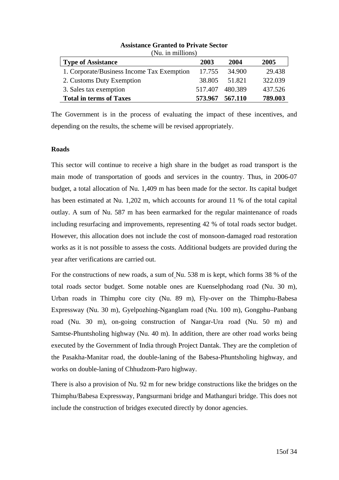<span id="page-15-0"></span>

| <b>Type of Assistance</b>                  | 2003    | 2004    | 2005    |
|--------------------------------------------|---------|---------|---------|
| 1. Corporate/Business Income Tax Exemption | 17.755  | 34.900  | 29.438  |
| 2. Customs Duty Exemption                  | 38.805  | 51.821  | 322.039 |
| 3. Sales tax exemption                     | 517.407 | 480.389 | 437.526 |
| <b>Total in terms of Taxes</b>             | 573.967 | 567.110 | 789.003 |

**Assistance Granted to Private Sector**  (Nu. in millions)

The Government is in the process of evaluating the impact of these incentives, and depending on the results, the scheme will be revised appropriately.

#### **Roads**

This sector will continue to receive a high share in the budget as road transport is the main mode of transportation of goods and services in the country. Thus, in 2006-07 budget, a total allocation of Nu. 1,409 m has been made for the sector. Its capital budget has been estimated at Nu. 1,202 m, which accounts for around 11 % of the total capital outlay. A sum of Nu. 587 m has been earmarked for the regular maintenance of roads including resurfacing and improvements, representing 42 % of total roads sector budget. However, this allocation does not include the cost of monsoon-damaged road restoration works as it is not possible to assess the costs. Additional budgets are provided during the year after verifications are carried out.

For the constructions of new roads, a sum of Nu. 538 m is kept, which forms 38 % of the total roads sector budget. Some notable ones are Kuenselphodang road (Nu. 30 m), Urban roads in Thimphu core city (Nu. 89 m), Fly-over on the Thimphu-Babesa Expressway (Nu. 30 m), Gyelpozhing-Nganglam road (Nu. 100 m), Gongphu–Panbang road (Nu. 30 m), on-going construction of Nangar-Ura road (Nu. 50 m) and Samtse-Phuntsholing highway (Nu. 40 m). In addition, there are other road works being executed by the Government of India through Project Dantak. They are the completion of the Pasakha-Manitar road, the double-laning of the Babesa-Phuntsholing highway, and works on double-laning of Chhudzom-Paro highway.

There is also a provision of Nu. 92 m for new bridge constructions like the bridges on the Thimphu/Babesa Expressway, Pangsurmani bridge and Mathanguri bridge. This does not include the construction of bridges executed directly by donor agencies.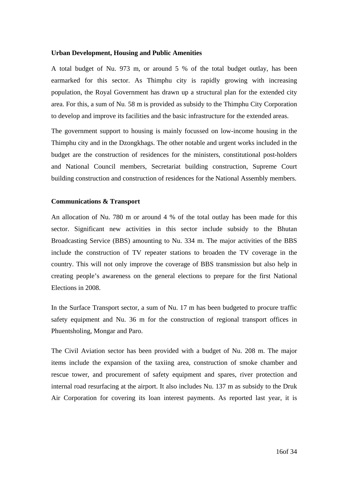#### <span id="page-16-0"></span>**Urban Development, Housing and Public Amenities**

A total budget of Nu. 973 m, or around 5 % of the total budget outlay, has been earmarked for this sector. As Thimphu city is rapidly growing with increasing population, the Royal Government has drawn up a structural plan for the extended city area. For this, a sum of Nu. 58 m is provided as subsidy to the Thimphu City Corporation to develop and improve its facilities and the basic infrastructure for the extended areas.

The government support to housing is mainly focussed on low-income housing in the Thimphu city and in the Dzongkhags. The other notable and urgent works included in the budget are the construction of residences for the ministers, constitutional post-holders and National Council members, Secretariat building construction, Supreme Court building construction and construction of residences for the National Assembly members.

#### **Communications & Transport**

An allocation of Nu. 780 m or around 4 % of the total outlay has been made for this sector. Significant new activities in this sector include subsidy to the Bhutan Broadcasting Service (BBS) amounting to Nu. 334 m. The major activities of the BBS include the construction of TV repeater stations to broaden the TV coverage in the country. This will not only improve the coverage of BBS transmission but also help in creating people's awareness on the general elections to prepare for the first National Elections in 2008.

In the Surface Transport sector, a sum of Nu. 17 m has been budgeted to procure traffic safety equipment and Nu. 36 m for the construction of regional transport offices in Phuentsholing, Mongar and Paro.

The Civil Aviation sector has been provided with a budget of Nu. 208 m. The major items include the expansion of the taxiing area, construction of smoke chamber and rescue tower, and procurement of safety equipment and spares, river protection and internal road resurfacing at the airport. It also includes Nu. 137 m as subsidy to the Druk Air Corporation for covering its loan interest payments. As reported last year, it is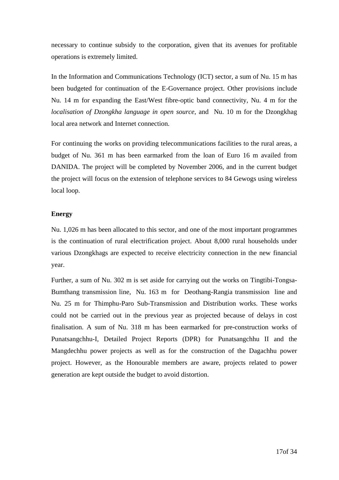<span id="page-17-0"></span>necessary to continue subsidy to the corporation, given that its avenues for profitable operations is extremely limited.

In the Information and Communications Technology (ICT) sector, a sum of Nu. 15 m has been budgeted for continuation of the E-Governance project. Other provisions include Nu. 14 m for expanding the East/West fibre-optic band connectivity, Nu. 4 m for the *localisation of Dzongkha language in open source*, and Nu. 10 m for the Dzongkhag local area network and Internet connection.

For continuing the works on providing telecommunications facilities to the rural areas, a budget of Nu. 361 m has been earmarked from the loan of Euro 16 m availed from DANIDA. The project will be completed by November 2006, and in the current budget the project will focus on the extension of telephone services to 84 Gewogs using wireless local loop.

#### **Energy**

Nu. 1,026 m has been allocated to this sector, and one of the most important programmes is the continuation of rural electrification project. About 8,000 rural households under various Dzongkhags are expected to receive electricity connection in the new financial year.

Further, a sum of Nu. 302 m is set aside for carrying out the works on Tingtibi-Tongsa-Bumthang transmission line, Nu. 163 m for Deothang-Rangia transmission line and Nu. 25 m for Thimphu-Paro Sub-Transmission and Distribution works. These works could not be carried out in the previous year as projected because of delays in cost finalisation. A sum of Nu. 318 m has been earmarked for pre-construction works of Punatsangchhu-I, Detailed Project Reports (DPR) for Punatsangchhu II and the Mangdechhu power projects as well as for the construction of the Dagachhu power project. However, as the Honourable members are aware, projects related to power generation are kept outside the budget to avoid distortion.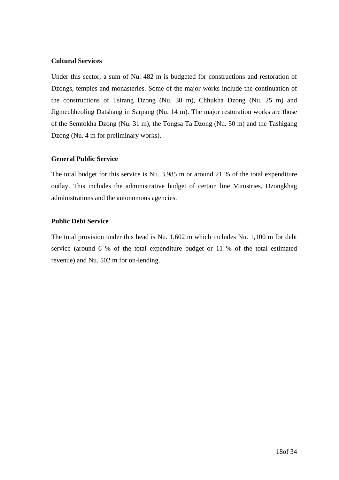#### <span id="page-18-0"></span>**Cultural Services**

Under this sector, a sum of Nu. 482 m is budgeted for constructions and restoration of Dzongs, temples and monasteries. Some of the major works include the continuation of the constructions of Tsirang Dzong (Nu. 30 m), Chhukha Dzong (Nu. 25 m) and Jigmechheoling Datshang in Sarpang (Nu. 14 m). The major restoration works are those of the Semtokha Dzong (Nu. 31 m), the Tongsa Ta Dzong (Nu. 50 m) and the Tashigang Dzong (Nu. 4 m for preliminary works).

#### **General Public Service**

The total budget for this service is Nu. 3,985 m or around 21 % of the total expenditure outlay. This includes the administrative budget of certain line Ministries, Dzongkhag administrations and the autonomous agencies.

#### **Public Debt Service**

The total provision under this head is Nu. 1,602 m which includes Nu. 1,100 m for debt service (around 6 % of the total expenditure budget or 11 % of the total estimated revenue) and Nu. 502 m for on-lending.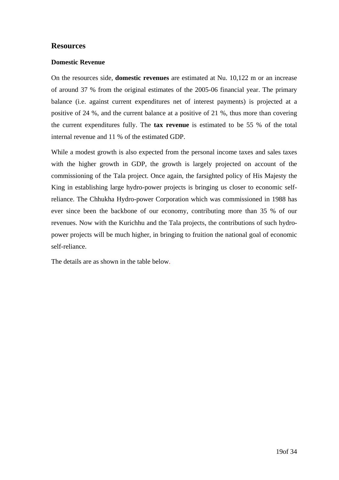#### <span id="page-19-0"></span>**Resources**

#### **Domestic Revenue**

On the resources side, **domestic revenues** are estimated at Nu. 10,122 m or an increase of around 37 % from the original estimates of the 2005-06 financial year. The primary balance (i.e. against current expenditures net of interest payments) is projected at a positive of 24 %, and the current balance at a positive of 21 %, thus more than covering the current expenditures fully. The **tax revenue** is estimated to be 55 % of the total internal revenue and 11 % of the estimated GDP.

While a modest growth is also expected from the personal income taxes and sales taxes with the higher growth in GDP, the growth is largely projected on account of the commissioning of the Tala project. Once again, the farsighted policy of His Majesty the King in establishing large hydro-power projects is bringing us closer to economic selfreliance. The Chhukha Hydro-power Corporation which was commissioned in 1988 has ever since been the backbone of our economy, contributing more than 35 % of our revenues. Now with the Kurichhu and the Tala projects, the contributions of such hydropower projects will be much higher, in bringing to fruition the national goal of economic self-reliance.

The details are as shown in the table below.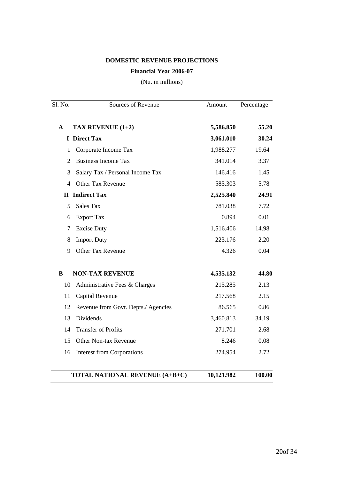#### **DOMESTIC REVENUE PROJECTIONS**

#### **Financial Year 2006-07**

(Nu. in millions)

| Sl. No.        | Sources of Revenue                    | Amount     | Percentage |
|----------------|---------------------------------------|------------|------------|
| $\mathbf{A}$   | TAX REVENUE (1+2)                     | 5,586.850  | 55.20      |
|                | <b>I</b> Direct Tax                   | 3,061.010  | 30.24      |
| 1              | Corporate Income Tax                  | 1,988.277  | 19.64      |
| 2              | <b>Business Income Tax</b>            | 341.014    | 3.37       |
| 3              | Salary Tax / Personal Income Tax      | 146.416    | 1.45       |
| $\overline{4}$ | <b>Other Tax Revenue</b>              | 585.303    | 5.78       |
|                | <b>II</b> Indirect Tax                | 2,525.840  | 24.91      |
| 5              | <b>Sales Tax</b>                      | 781.038    | 7.72       |
| 6              | <b>Export Tax</b>                     | 0.894      | 0.01       |
| $\tau$         | <b>Excise Duty</b>                    | 1,516.406  | 14.98      |
| 8              | <b>Import Duty</b>                    | 223.176    | 2.20       |
| 9              | Other Tax Revenue                     | 4.326      | 0.04       |
| $\bf{B}$       | <b>NON-TAX REVENUE</b>                | 4,535.132  | 44.80      |
| 10             | Administrative Fees & Charges         | 215.285    | 2.13       |
| 11             | Capital Revenue                       | 217.568    | 2.15       |
| 12             | Revenue from Govt. Depts./ Agencies   | 86.565     | 0.86       |
| 13             | Dividends                             | 3,460.813  | 34.19      |
| 14             | <b>Transfer of Profits</b>            | 271.701    | 2.68       |
| 15             | Other Non-tax Revenue                 | 8.246      | 0.08       |
| 16             | <b>Interest from Corporations</b>     | 274.954    | 2.72       |
|                | <b>TOTAL NATIONAL REVENUE (A+B+C)</b> | 10,121.982 | 100.00     |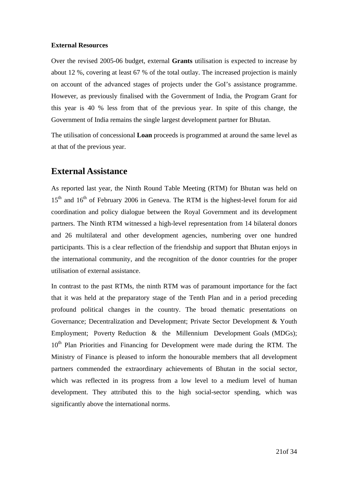#### <span id="page-21-0"></span>**External Resources**

Over the revised 2005-06 budget, external **Grants** utilisation is expected to increase by about 12 %, covering at least 67 % of the total outlay. The increased projection is mainly on account of the advanced stages of projects under the GoI's assistance programme. However, as previously finalised with the Government of India, the Program Grant for this year is 40 % less from that of the previous year. In spite of this change, the Government of India remains the single largest development partner for Bhutan.

The utilisation of concessional **Loan** proceeds is programmed at around the same level as at that of the previous year.

## **External Assistance**

As reported last year, the Ninth Round Table Meeting (RTM) for Bhutan was held on  $15<sup>th</sup>$  and  $16<sup>th</sup>$  of February 2006 in Geneva. The RTM is the highest-level forum for aid coordination and policy dialogue between the Royal Government and its development partners. The Ninth RTM witnessed a high-level representation from 14 bilateral donors and 26 multilateral and other development agencies, numbering over one hundred participants. This is a clear reflection of the friendship and support that Bhutan enjoys in the international community, and the recognition of the donor countries for the proper utilisation of external assistance.

In contrast to the past RTMs, the ninth RTM was of paramount importance for the fact that it was held at the preparatory stage of the Tenth Plan and in a period preceding profound political changes in the country. The broad thematic presentations on Governance; Decentralization and Development; Private Sector Development & Youth Employment; Poverty Reduction & the Millennium Development Goals (MDGs); 10<sup>th</sup> Plan Priorities and Financing for Development were made during the RTM. The Ministry of Finance is pleased to inform the honourable members that all development partners commended the extraordinary achievements of Bhutan in the social sector, which was reflected in its progress from a low level to a medium level of human development. They attributed this to the high social-sector spending, which was significantly above the international norms.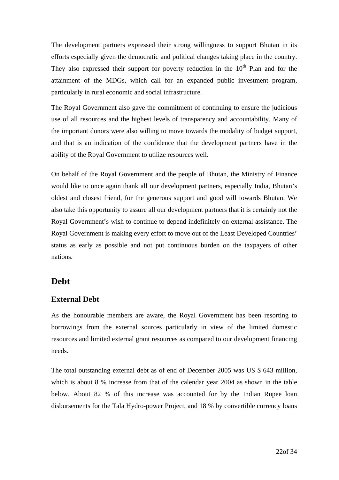<span id="page-22-0"></span>The development partners expressed their strong willingness to support Bhutan in its efforts especially given the democratic and political changes taking place in the country. They also expressed their support for poverty reduction in the  $10<sup>th</sup>$  Plan and for the attainment of the MDGs, which call for an expanded public investment program, particularly in rural economic and social infrastructure.

The Royal Government also gave the commitment of continuing to ensure the judicious use of all resources and the highest levels of transparency and accountability. Many of the important donors were also willing to move towards the modality of budget support, and that is an indication of the confidence that the development partners have in the ability of the Royal Government to utilize resources well.

On behalf of the Royal Government and the people of Bhutan, the Ministry of Finance would like to once again thank all our development partners, especially India, Bhutan's oldest and closest friend, for the generous support and good will towards Bhutan. We also take this opportunity to assure all our development partners that it is certainly not the Royal Government's wish to continue to depend indefinitely on external assistance. The Royal Government is making every effort to move out of the Least Developed Countries' status as early as possible and not put continuous burden on the taxpayers of other nations.

## **Debt**

## **External Debt**

As the honourable members are aware, the Royal Government has been resorting to borrowings from the external sources particularly in view of the limited domestic resources and limited external grant resources as compared to our development financing needs.

The total outstanding external debt as of end of December 2005 was US \$ 643 million, which is about 8 % increase from that of the calendar year 2004 as shown in the table below. About 82 % of this increase was accounted for by the Indian Rupee loan disbursements for the Tala Hydro-power Project, and 18 % by convertible currency loans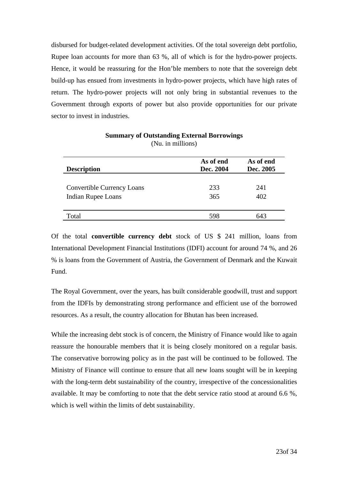disbursed for budget-related development activities. Of the total sovereign debt portfolio, Rupee loan accounts for more than 63 %, all of which is for the hydro-power projects. Hence, it would be reassuring for the Hon'ble members to note that the sovereign debt build-up has ensued from investments in hydro-power projects, which have high rates of return. The hydro-power projects will not only bring in substantial revenues to the Government through exports of power but also provide opportunities for our private sector to invest in industries.

| <b>Description</b>                                      | As of end<br>Dec. 2004 | As of end<br>Dec. 2005 |
|---------------------------------------------------------|------------------------|------------------------|
| Convertible Currency Loans<br><b>Indian Rupee Loans</b> | 233<br>365             | 241<br>402             |
| Total                                                   | 598                    | 643                    |

#### **Summary of Outstanding External Borrowings**  (Nu. in millions)

Of the total **convertible currency debt** stock of US \$ 241 million, loans from International Development Financial Institutions (IDFI) account for around 74 %, and 26 % is loans from the Government of Austria, the Government of Denmark and the Kuwait Fund.

The Royal Government, over the years, has built considerable goodwill, trust and support from the IDFIs by demonstrating strong performance and efficient use of the borrowed resources. As a result, the country allocation for Bhutan has been increased.

While the increasing debt stock is of concern, the Ministry of Finance would like to again reassure the honourable members that it is being closely monitored on a regular basis. The conservative borrowing policy as in the past will be continued to be followed. The Ministry of Finance will continue to ensure that all new loans sought will be in keeping with the long-term debt sustainability of the country, irrespective of the concessionalities available. It may be comforting to note that the debt service ratio stood at around 6.6 %, which is well within the limits of debt sustainability.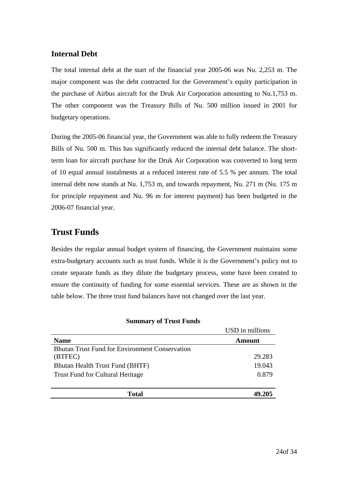### <span id="page-24-0"></span>**Internal Debt**

The total internal debt at the start of the financial year 2005-06 was Nu. 2,253 m. The major component was the debt contracted for the Government's equity participation in the purchase of Airbus aircraft for the Druk Air Corporation amounting to Nu.1,753 m. The other component was the Treasury Bills of Nu. 500 million issued in 2001 for budgetary operations.

During the 2005-06 financial year, the Government was able to fully redeem the Treasury Bills of Nu. 500 m. This has significantly reduced the internal debt balance. The shortterm loan for aircraft purchase for the Druk Air Corporation was converted to long term of 10 equal annual instalments at a reduced interest rate of 5.5 % per annum. The total internal debt now stands at Nu. 1,753 m, and towards repayment, Nu. 271 m (Nu. 175 m for principle repayment and Nu. 96 m for interest payment) has been budgeted in the 2006-07 financial year.

## **Trust Funds**

Besides the regular annual budget system of financing, the Government maintains some extra-budgetary accounts such as trust funds. While it is the Government's policy not to create separate funds as they dilute the budgetary process, some have been created to ensure the continuity of funding for some essential services. These are as shown in the table below. The three trust fund balances have not changed over the last year.

|                                                       | USD in millions |
|-------------------------------------------------------|-----------------|
| <b>Name</b>                                           | Amount          |
| <b>Bhutan Trust Fund for Environment Conservation</b> |                 |
| (BTFEC)                                               | 29.283          |
| Bhutan Health Trust Fund (BHTF)                       | 19.043          |
| <b>Trust Fund for Cultural Heritage</b>               | 0.879           |
|                                                       |                 |
| Total                                                 |                 |

#### **Summary of Trust Funds**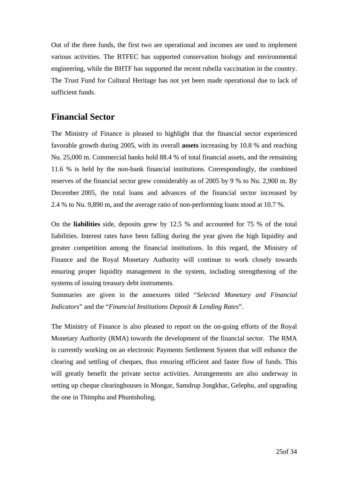<span id="page-25-0"></span>Out of the three funds, the first two are operational and incomes are used to implement various activities. The BTFEC has supported conservation biology and environmental engineering, while the BHTF has supported the recent rubella vaccination in the country. The Trust Fund for Cultural Heritage has not yet been made operational due to lack of sufficient funds.

## **Financial Sector**

The Ministry of Finance is pleased to highlight that the financial sector experienced favorable growth during 2005, with its overall **assets** increasing by 10.8 % and reaching Nu. 25,000 m. Commercial banks hold 88.4 % of total financial assets, and the remaining 11.6 % is held by the non-bank financial institutions. Correspondingly, the combined reserves of the financial sector grew considerably as of 2005 by 9 % to Nu. 2,900 m. By December 2005, the total loans and advances of the financial sector increased by 2.4 % to Nu. 9,890 m, and the average ratio of non-performing loans stood at 10.7 %.

On the **liabilities** side, deposits grew by 12.5 % and accounted for 75 % of the total liabilities. Interest rates have been falling during the year given the high liquidity and greater competition among the financial institutions. In this regard, the Ministry of Finance and the Royal Monetary Authority will continue to work closely towards ensuring proper liquidity management in the system, including strengthening of the systems of issuing treasury debt instruments.

Summaries are given in the annexures titled "*Selected Monetary and Financial Indicators*" and the "*Financial Institutions Deposit & Lending Rates*".

The Ministry of Finance is also pleased to report on the on-going efforts of the Royal Monetary Authority (RMA) towards the development of the financial sector. The RMA is currently working on an electronic Payments Settlement System that will enhance the clearing and settling of cheques, thus ensuring efficient and faster flow of funds. This will greatly benefit the private sector activities. Arrangements are also underway in setting up cheque clearinghouses in Mongar, Samdrup Jongkhar, Gelephu, and upgrading the one in Thimphu and Phuntsholing.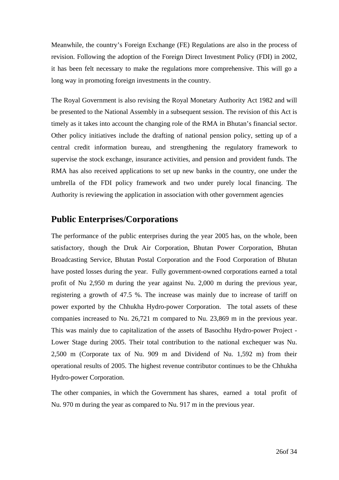<span id="page-26-0"></span>Meanwhile, the country's Foreign Exchange (FE) Regulations are also in the process of revision. Following the adoption of the Foreign Direct Investment Policy (FDI) in 2002, it has been felt necessary to make the regulations more comprehensive. This will go a long way in promoting foreign investments in the country.

The Royal Government is also revising the Royal Monetary Authority Act 1982 and will be presented to the National Assembly in a subsequent session. The revision of this Act is timely as it takes into account the changing role of the RMA in Bhutan's financial sector. Other policy initiatives include the drafting of national pension policy, setting up of a central credit information bureau, and strengthening the regulatory framework to supervise the stock exchange, insurance activities, and pension and provident funds. The RMA has also received applications to set up new banks in the country, one under the umbrella of the FDI policy framework and two under purely local financing. The Authority is reviewing the application in association with other government agencies

## **Public Enterprises/Corporations**

The performance of the public enterprises during the year 2005 has, on the whole, been satisfactory, though the Druk Air Corporation, Bhutan Power Corporation, Bhutan Broadcasting Service, Bhutan Postal Corporation and the Food Corporation of Bhutan have posted losses during the year. Fully government-owned corporations earned a total profit of Nu 2,950 m during the year against Nu. 2,000 m during the previous year, registering a growth of 47.5 %. The increase was mainly due to increase of tariff on power exported by the Chhukha Hydro-power Corporation. The total assets of these companies increased to Nu. 26,721 m compared to Nu. 23,869 m in the previous year. This was mainly due to capitalization of the assets of Basochhu Hydro-power Project - Lower Stage during 2005. Their total contribution to the national exchequer was Nu. 2,500 m (Corporate tax of Nu. 909 m and Dividend of Nu. 1,592 m) from their operational results of 2005. The highest revenue contributor continues to be the Chhukha Hydro-power Corporation.

The other companies, in which the Government has shares, earned a total profit of Nu. 970 m during the year as compared to Nu. 917 m in the previous year.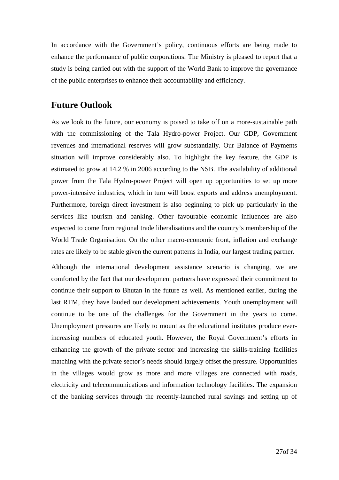<span id="page-27-0"></span>In accordance with the Government's policy, continuous efforts are being made to enhance the performance of public corporations. The Ministry is pleased to report that a study is being carried out with the support of the World Bank to improve the governance of the public enterprises to enhance their accountability and efficiency.

## **Future Outlook**

As we look to the future, our economy is poised to take off on a more-sustainable path with the commissioning of the Tala Hydro-power Project. Our GDP, Government revenues and international reserves will grow substantially. Our Balance of Payments situation will improve considerably also. To highlight the key feature, the GDP is estimated to grow at 14.2 % in 2006 according to the NSB. The availability of additional power from the Tala Hydro-power Project will open up opportunities to set up more power-intensive industries, which in turn will boost exports and address unemployment. Furthermore, foreign direct investment is also beginning to pick up particularly in the services like tourism and banking. Other favourable economic influences are also expected to come from regional trade liberalisations and the country's membership of the World Trade Organisation. On the other macro-economic front, inflation and exchange rates are likely to be stable given the current patterns in India, our largest trading partner.

Although the international development assistance scenario is changing, we are comforted by the fact that our development partners have expressed their commitment to continue their support to Bhutan in the future as well. As mentioned earlier, during the last RTM, they have lauded our development achievements. Youth unemployment will continue to be one of the challenges for the Government in the years to come. Unemployment pressures are likely to mount as the educational institutes produce everincreasing numbers of educated youth. However, the Royal Government's efforts in enhancing the growth of the private sector and increasing the skills-training facilities matching with the private sector's needs should largely offset the pressure. Opportunities in the villages would grow as more and more villages are connected with roads, electricity and telecommunications and information technology facilities. The expansion of the banking services through the recently-launched rural savings and setting up of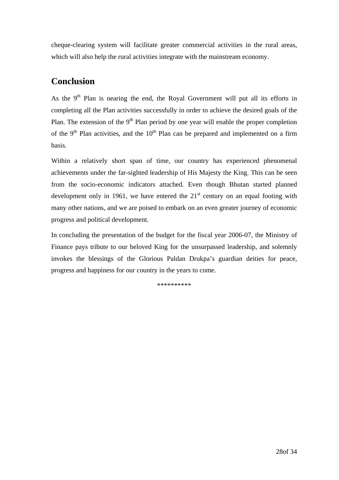<span id="page-28-0"></span>cheque-clearing system will facilitate greater commercial activities in the rural areas, which will also help the rural activities integrate with the mainstream economy.

## **Conclusion**

As the  $9<sup>th</sup>$  Plan is nearing the end, the Royal Government will put all its efforts in completing all the Plan activities successfully in order to achieve the desired goals of the Plan. The extension of the  $9<sup>th</sup>$  Plan period by one year will enable the proper completion of the 9<sup>th</sup> Plan activities, and the  $10<sup>th</sup>$  Plan can be prepared and implemented on a firm basis.

Within a relatively short span of time, our country has experienced phenomenal achievements under the far-sighted leadership of His Majesty the King. This can be seen from the socio-economic indicators attached. Even though Bhutan started planned development only in 1961, we have entered the  $21<sup>st</sup>$  century on an equal footing with many other nations, and we are poised to embark on an even greater journey of economic progress and political development.

In concluding the presentation of the budget for the fiscal year 2006-07, the Ministry of Finance pays tribute to our beloved King for the unsurpassed leadership, and solemnly invokes the blessings of the Glorious Paldan Drukpa's guardian deities for peace, progress and happiness for our country in the years to come.

\*\*\*\*\*\*\*\*\*\*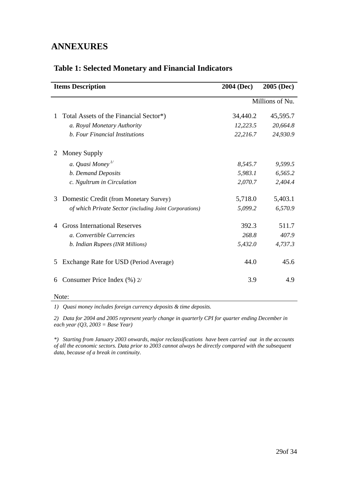## <span id="page-29-0"></span>**ANNEXURES**

|   | <b>Items Description</b>                               | 2004 (Dec) | <b>2005 (Dec)</b> |
|---|--------------------------------------------------------|------------|-------------------|
|   |                                                        |            | Millions of Nu.   |
| 1 | Total Assets of the Financial Sector*)                 | 34,440.2   | 45,595.7          |
|   | a. Royal Monetary Authority                            | 12,223.5   | 20,664.8          |
|   | b. Four Financial Institutions                         | 22,216.7   | 24,930.9          |
|   | Money Supply                                           |            |                   |
|   | a. Quasi Money <sup>1/</sup>                           | 8,545.7    | 9,599.5           |
|   | b. Demand Deposits                                     | 5,983.1    | 6,565.2           |
|   | c. Ngultrum in Circulation                             | 2,070.7    | 2,404.4           |
| 3 | Domestic Credit (from Monetary Survey)                 | 5,718.0    | 5,403.1           |
|   | of which Private Sector (including Joint Corporations) | 5,099.2    | 6,570.9           |
|   | <b>Gross International Reserves</b>                    | 392.3      | 511.7             |
|   | a. Convertible Currencies                              | 268.8      | 407.9             |
|   | b. Indian Rupees (INR Millions)                        | 5,432.0    | 4,737.3           |
| 5 | Exchange Rate for USD (Period Average)                 | 44.0       | 45.6              |
| 6 | Consumer Price Index (%) 2/                            | 3.9        | 4.9               |

## **Table 1: Selected Monetary and Financial Indicators**

Note:

*1) Quasi money includes foreign currency deposits & time deposits.* 

*2) Data for 2004 and 2005 represent yearly change in quarterly CPI for quarter ending December in each year (Q3, 2003 = Base Year)* 

*\*) Starting from January 2003 onwards, major reclassifications have been carried out in the accounts of all the economic sectors. Data prior to 2003 cannot always be directly compared with the subsequent data, because of a break in continuity.*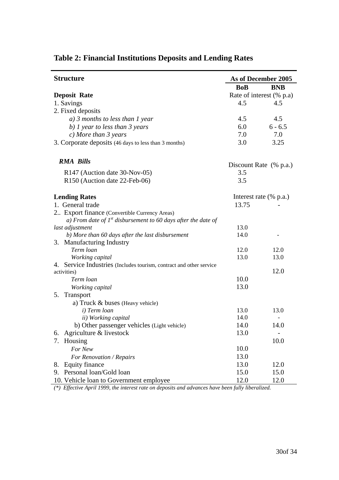| <b>Structure</b><br>As of December 2005                             |            |                          |
|---------------------------------------------------------------------|------------|--------------------------|
|                                                                     | <b>BoB</b> | <b>BNB</b>               |
| <b>Deposit Rate</b>                                                 |            | Rate of interest (% p.a) |
| 1. Savings                                                          | 4.5        | 4.5                      |
| 2. Fixed deposits                                                   |            |                          |
| $a)$ 3 months to less than 1 year                                   | 4.5        | 4.5                      |
| b) $\frac{1}{2}$ year to less than 3 years                          | 6.0        | $6 - 6.5$                |
| $c)$ More than 3 years                                              | 7.0        | 7.0                      |
| 3. Corporate deposits (46 days to less than 3 months)<br>3.0        |            | 3.25                     |
| <b>RMA Bills</b>                                                    |            |                          |
|                                                                     |            | Discount Rate (% p.a.)   |
| R147 (Auction date 30-Nov-05)                                       | 3.5        |                          |
| R150 (Auction date 22-Feb-06)                                       | 3.5        |                          |
| <b>Lending Rates</b>                                                |            | Interest rate (% p.a.)   |
| 1. General trade                                                    | 13.75      |                          |
| 2 Export finance (Convertible Currency Areas)                       |            |                          |
| a) From date of $Ist$ disbursement to 60 days after the date of     |            |                          |
| last adjustment                                                     | 13.0       |                          |
| b) More than 60 days after the last disbursement                    | 14.0       |                          |
| 3. Manufacturing Industry                                           |            |                          |
| Term loan                                                           | 12.0       | 12.0                     |
| Working capital                                                     | 13.0       | 13.0                     |
| 4. Service Industries (Includes tourism, contract and other service |            |                          |
| activities)                                                         |            | 12.0                     |
| Term loan                                                           | 10.0       |                          |
| Working capital                                                     | 13.0       |                          |
| Transport<br>5.                                                     |            |                          |
| a) Truck & buses (Heavy vehicle)                                    |            |                          |
| i) Term loan                                                        | 13.0       | 13.0                     |
| ii) Working capital                                                 | 14.0       |                          |
| b) Other passenger vehicles (Light vehicle)                         | 14.0       | 14.0                     |
| Agriculture & livestock<br>6.                                       | 13.0       |                          |
| Housing<br>7.                                                       |            | 10.0                     |
| For New                                                             | 10.0       |                          |
| For Renovation / Repairs                                            | 13.0       |                          |
| Equity finance<br>8.                                                | 13.0       | 12.0                     |
| 9. Personal loan/Gold loan                                          | 15.0       | 15.0                     |
| 10. Vehicle loan to Government employee                             | 12.0       | 12.0                     |

## <span id="page-30-0"></span>**Table 2: Financial Institutions Deposits and Lending Rates**

*(\*) Effective April 1999, the interest rate on deposits and advances have been fully liberalized.*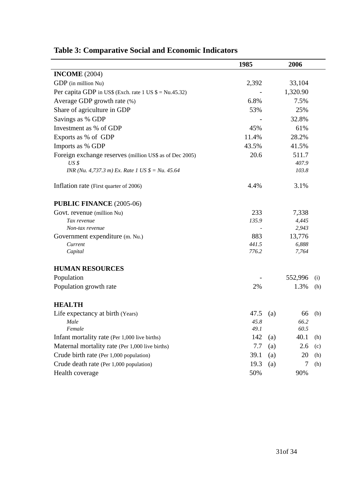|                                                                          | 1985     |     | 2006     |        |
|--------------------------------------------------------------------------|----------|-----|----------|--------|
| <b>INCOME</b> (2004)                                                     |          |     |          |        |
| GDP (in million Nu)                                                      | 2,392    |     | 33,104   |        |
| Per capita GDP in US\$ (Exch. rate $1 \text{ US } $ = \text{Nu}.45.32$ ) |          |     | 1,320.90 |        |
| Average GDP growth rate (%)                                              | 6.8%     |     | 7.5%     |        |
| Share of agriculture in GDP                                              | 53%      |     | 25%      |        |
| Savings as % GDP                                                         |          |     | 32.8%    |        |
| Investment as % of GDP                                                   | 45%      |     | 61%      |        |
| Exports as % of GDP                                                      | 11.4%    |     | 28.2%    |        |
| Imports as % GDP                                                         | 43.5%    |     | 41.5%    |        |
| Foreign exchange reserves (million US\$ as of Dec 2005)                  | 20.6     |     | 511.7    |        |
| $US \$                                                                   |          |     | 407.9    |        |
| INR (Nu. 4,737.3 m) Ex. Rate 1 US $\$ = Nu. 45.64$                       |          |     | 103.8    |        |
| Inflation rate (First quarter of 2006)                                   | 4.4%     |     | 3.1%     |        |
| <b>PUBLIC FINANCE (2005-06)</b>                                          |          |     |          |        |
| Govt. revenue (million Nu)                                               | 233      |     | 7,338    |        |
| Tax revenue                                                              | 135.9    |     | 4,445    |        |
| Non-tax revenue                                                          |          |     | 2,943    |        |
| Government expenditure (m. Nu.)                                          | 883      |     | 13,776   |        |
| Current                                                                  | 441.5    |     | 6,888    |        |
| Capital                                                                  | 776.2    |     | 7,764    |        |
| <b>HUMAN RESOURCES</b>                                                   |          |     |          |        |
| Population                                                               |          |     | 552,996  | (i)    |
| Population growth rate                                                   | 2%       |     | 1.3%     | (h)    |
| <b>HEALTH</b>                                                            |          |     |          |        |
| Life expectancy at birth (Years)                                         | 47.5 (a) |     |          | 66 (b) |
| Male                                                                     | 45.8     |     | 66.2     |        |
| Female                                                                   | 49.1     |     | 60.5     |        |
| Infant mortality rate (Per 1,000 live births)                            | 142      | (a) | 40.1     | (h)    |
| Maternal mortality rate (Per 1,000 live births)                          | 7.7      | (a) | 2.6      | (c)    |
| Crude birth rate (Per 1,000 population)                                  | 39.1     | (a) | 20       | (h)    |
| Crude death rate (Per 1,000 population)                                  | 19.3     | (a) | 7        | (h)    |
| Health coverage                                                          | 50%      |     | 90%      |        |

# <span id="page-31-0"></span>**Table 3: Comparative Social and Economic Indicators**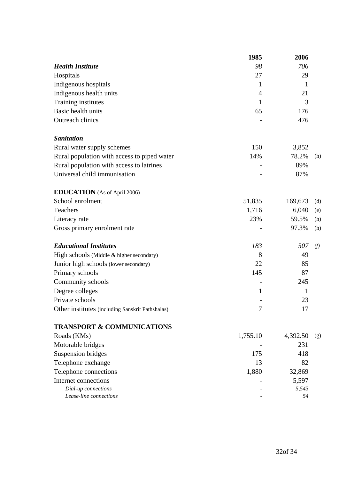|                                                  | 1985         | 2006         |     |
|--------------------------------------------------|--------------|--------------|-----|
| <b>Health Institute</b>                          | 98           | 706          |     |
| Hospitals                                        | 27           | 29           |     |
| Indigenous hospitals                             | 1            | $\mathbf{1}$ |     |
| Indigenous health units                          | 4            | 21           |     |
| Training institutes                              | $\mathbf{1}$ | 3            |     |
| Basic health units                               | 65           | 176          |     |
| <b>Outreach clinics</b>                          |              | 476          |     |
| <b>Sanitation</b>                                |              |              |     |
| Rural water supply schemes                       | 150          | 3,852        |     |
| Rural population with access to piped water      | 14%          | 78.2%        | (h) |
| Rural population with access to latrines         |              | 89%          |     |
| Universal child immunisation                     |              | 87%          |     |
| <b>EDUCATION</b> (As of April 2006)              |              |              |     |
| School enrolment                                 | 51,835       | 169,673      | (d) |
| Teachers                                         | 1,716        | 6,040        | (e) |
| Literacy rate                                    | 23%          | 59.5%        | (h) |
| Gross primary enrolment rate                     |              | 97.3%        | (h) |
| <b>Educational Institutes</b>                    | 183          | 507          | (f) |
| High schools (Middle & higher secondary)         | 8            | 49           |     |
| Junior high schools (lower secondary)            | 22           | 85           |     |
| Primary schools                                  | 145          | 87           |     |
| Community schools                                |              | 245          |     |
| Degree colleges                                  | 1            | 1            |     |
| Private schools                                  |              | 23           |     |
| Other institutes (including Sanskrit Pathshalas) | 7            | 17           |     |
| <b>TRANSPORT &amp; COMMUNICATIONS</b>            |              |              |     |
| Roads (KMs)                                      | 1,755.10     | 4,392.50     | (g) |
| Motorable bridges                                |              | 231          |     |
| Suspension bridges                               | 175          | 418          |     |
| Telephone exchange                               | 13           | 82           |     |
| Telephone connections                            | 1,880        | 32,869       |     |
| Internet connections                             |              | 5,597        |     |
| Dial-up connections                              |              | 5,543        |     |
| Lease-line connections                           |              | 54           |     |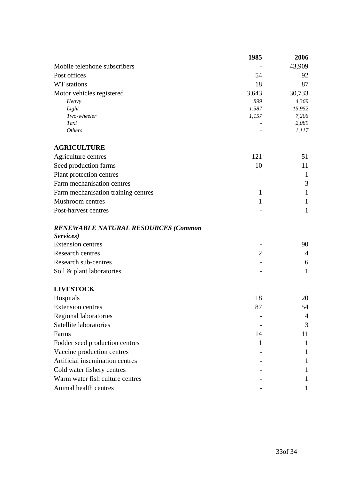|                                            | 1985           | 2006           |
|--------------------------------------------|----------------|----------------|
| Mobile telephone subscribers               |                | 43,909         |
| Post offices                               | 54             | 92             |
| WT stations                                | 18             | 87             |
| Motor vehicles registered                  | 3,643          | 30,733         |
| Heavy                                      | 899            | 4,369          |
| Light                                      | 1,587          | 15,952         |
| Two-wheeler                                | 1,157          | 7,206          |
| Taxi<br><b>Others</b>                      |                | 2,089<br>1,117 |
|                                            |                |                |
| <b>AGRICULTURE</b>                         |                |                |
| Agriculture centres                        | 121            | 51             |
| Seed production farms                      | 10             | 11             |
| Plant protection centres                   |                | $\mathbf{1}$   |
| Farm mechanisation centres                 |                | 3              |
| Farm mechanisation training centres        | 1              | $\mathbf{1}$   |
| <b>Mushroom</b> centres                    | $\mathbf{1}$   | $\mathbf{1}$   |
| Post-harvest centres                       |                | $\mathbf{1}$   |
| <b>RENEWABLE NATURAL RESOURCES (Common</b> |                |                |
| Services)                                  |                |                |
| <b>Extension centres</b>                   |                | 90             |
| <b>Research centres</b>                    | $\overline{2}$ | $\overline{4}$ |
| Research sub-centres                       |                | 6              |
| Soil & plant laboratories                  |                | $\mathbf{1}$   |
| <b>LIVESTOCK</b>                           |                |                |
| Hospitals                                  | 18             | 20             |
| <b>Extension centres</b>                   | 87             | 54             |
| <b>Regional laboratories</b>               |                | $\overline{4}$ |
| Satellite laboratories                     |                | 3              |
| Farms                                      | 14             | 11             |
| Fodder seed production centres             | $\mathbf{1}$   | $\mathbf{1}$   |

Vaccine production centres 1 Artificial insemination centres 1 Cold water fishery centres 1 Warm water fish culture centres 1 Animal health centres 1